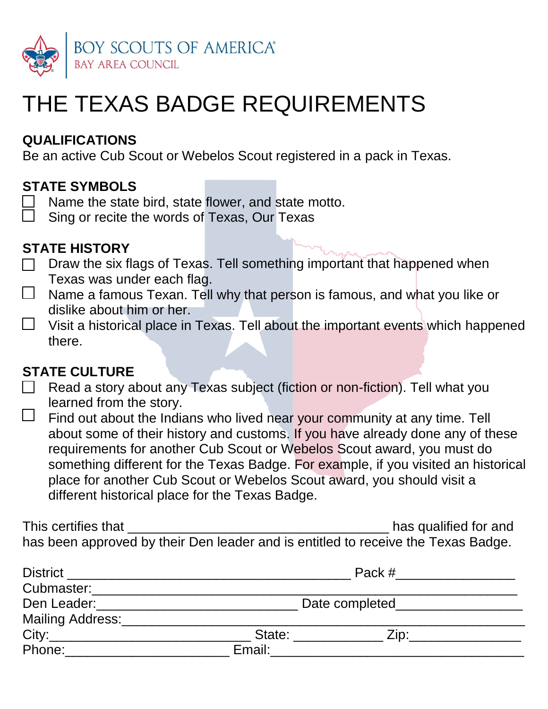

# THE TEXAS BADGE REQUIREMENTS

### **QUALIFICATIONS**

Be an active Cub Scout or Webelos Scout registered in a pack in Texas.

### **STATE SYMBOLS**

- Name the state bird, state flower, and state motto.
- Sing or recite the words of Texas, Our Texas

#### **STATE HISTORY**

- Draw the six flags of Texas. Tell something important that happened when  $\mathbb{R}^n$ Texas was under each flag.
- $\Box$  Name a famous Texan. Tell why that person is famous, and what you like or dislike about him or her.
- Visit a historical place in Texas. Tell about the important events which happened  $\Box$ there.

#### **STATE CULTURE**

- $\Box$  Read a story about any Texas subject (fiction or non-fiction). Tell what you learned from the story.
- $\Box$ Find out about the Indians who lived near your community at any time. Tell about some of their history and customs. If you have already done any of these requirements for another Cub Scout or Webelos Scout award, you must do something different for the Texas Badge. For example, if you visited an historical place for another Cub Scout or Webelos Scout award, you should visit a different historical place for the Texas Badge.

This certifies that **This certifies** that  $\blacksquare$ has been approved by their Den leader and is entitled to receive the Texas Badge.

| <b>District</b>  | Pack #         |                          |  |
|------------------|----------------|--------------------------|--|
| Cubmaster:       |                |                          |  |
| Den Leader:      | Date completed |                          |  |
| Mailing Address: |                |                          |  |
| City:            | State:         | $\mathsf{Zip:}_{\_\!\_}$ |  |
| Phone:           | Email:         |                          |  |